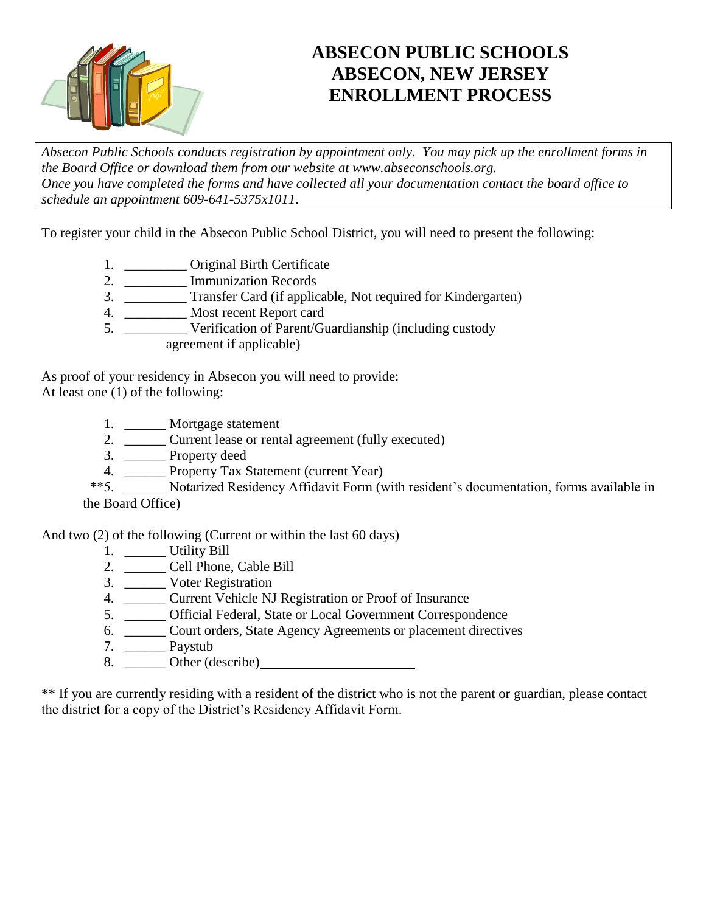

# **ABSECON PUBLIC SCHOOLS ABSECON, NEW JERSEY ENROLLMENT PROCESS**

*Absecon Public Schools conducts registration by appointment only. You may pick up the enrollment forms in the Board Office or download them from our website at www.abseconschools.org. Once you have completed the forms and have collected all your documentation contact the board office to schedule an appointment 609-641-5375x1011*.

To register your child in the Absecon Public School District, you will need to present the following:

- 1. \_\_\_\_\_\_\_\_\_\_\_ Original Birth Certificate
- 2. \_\_\_\_\_\_\_\_\_ Immunization Records
- 3. \_\_\_\_\_\_\_\_\_ Transfer Card (if applicable, Not required for Kindergarten)
- 4. \_\_\_\_\_\_\_\_\_ Most recent Report card
- 5. \_\_\_\_\_\_\_\_\_ Verification of Parent/Guardianship (including custody agreement if applicable)

As proof of your residency in Absecon you will need to provide:

At least one (1) of the following:

- 1. \_\_\_\_\_\_ Mortgage statement
- 2. \_\_\_\_\_\_\_\_ Current lease or rental agreement (fully executed)
- 3. \_\_\_\_\_\_ Property deed
- 4. \_\_\_\_\_\_ Property Tax Statement (current Year)
- \*\*5. \_\_\_\_\_\_ Notarized Residency Affidavit Form (with resident's documentation, forms available in the Board Office)

And two (2) of the following (Current or within the last 60 days)

- 1. \_\_\_\_\_\_ Utility Bill
- 2. \_\_\_\_\_\_ Cell Phone, Cable Bill
- 3. \_\_\_\_\_\_ Voter Registration
- 4. \_\_\_\_\_\_ Current Vehicle NJ Registration or Proof of Insurance
- 5. \_\_\_\_\_\_ Official Federal, State or Local Government Correspondence
- 6. \_\_\_\_\_\_ Court orders, State Agency Agreements or placement directives
- 7. \_\_\_\_\_\_ Paystub
- 8. <del>Other (describe)</del>

\*\* If you are currently residing with a resident of the district who is not the parent or guardian, please contact the district for a copy of the District's Residency Affidavit Form.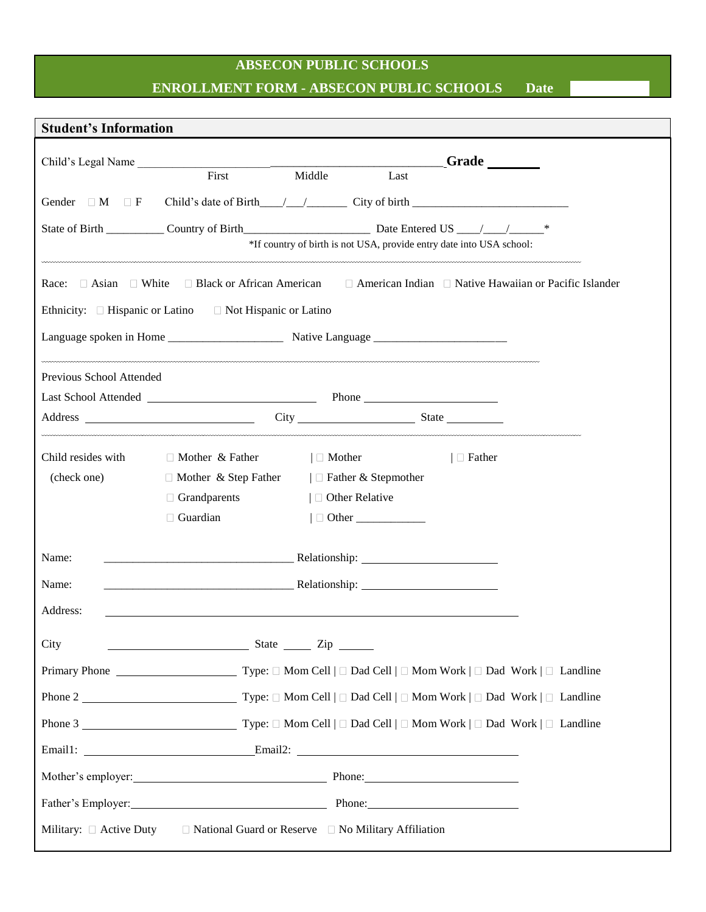# **ABSECON PUBLIC SCHOOLS ENROLLMENT FORM - ABSECON PUBLIC SCHOOLS Date**

| <b>Student's Information</b> |                                                                                                                                    |                  |                                                                      |               |  |
|------------------------------|------------------------------------------------------------------------------------------------------------------------------------|------------------|----------------------------------------------------------------------|---------------|--|
|                              | Child's Legal Name                                                                                                                 |                  |                                                                      | Grade         |  |
|                              | $\overline{\text{First}}$                                                                                                          | Middle           | Last                                                                 |               |  |
| Gender $\Box$ M $\Box$ F     | Child's date of Birth $\frac{1}{\sqrt{2}}$ City of birth $\frac{1}{\sqrt{2}}$                                                      |                  |                                                                      |               |  |
|                              | State of Birth Country of Birth Country of Birth Date Entered US Country 4.                                                        |                  |                                                                      |               |  |
|                              |                                                                                                                                    |                  | *If country of birth is not USA, provide entry date into USA school: |               |  |
|                              | Race: $\Box$ Asian $\Box$ White $\Box$ Black or African American $\Box$ American Indian $\Box$ Native Hawaiian or Pacific Islander |                  |                                                                      |               |  |
|                              | Ethnicity: $\Box$ Hispanic or Latino $\Box$ Not Hispanic or Latino                                                                 |                  |                                                                      |               |  |
|                              |                                                                                                                                    |                  |                                                                      |               |  |
| Previous School Attended     |                                                                                                                                    |                  |                                                                      |               |  |
|                              |                                                                                                                                    |                  |                                                                      |               |  |
|                              |                                                                                                                                    |                  |                                                                      |               |  |
| Child resides with           | $\Box$ Mother & Father                                                                                                             | $\Box$ Mother    |                                                                      | $\Box$ Father |  |
| (check one)                  | $\Box$ Mother & Step Father $ \Box$ Father & Stepmother                                                                            |                  |                                                                      |               |  |
|                              | $\Box$ Grandparents                                                                                                                | □ Other Relative |                                                                      |               |  |
|                              | $\Box$ Guardian                                                                                                                    |                  | $\Box$ Other                                                         |               |  |
| Name:                        |                                                                                                                                    |                  |                                                                      |               |  |
| Name:                        |                                                                                                                                    |                  |                                                                      |               |  |
| Address:                     |                                                                                                                                    |                  |                                                                      |               |  |
| City                         | State <u>Tip</u> State 2ip                                                                                                         |                  |                                                                      |               |  |
|                              |                                                                                                                                    |                  |                                                                      |               |  |
|                              |                                                                                                                                    |                  |                                                                      |               |  |
|                              |                                                                                                                                    |                  |                                                                      |               |  |
|                              | Email1: Email2: Email2: Email2:                                                                                                    |                  |                                                                      |               |  |
|                              | Mother's employer: Phone: Phone:                                                                                                   |                  |                                                                      |               |  |
|                              | Father's Employer: Phone: Phone: Phone:                                                                                            |                  |                                                                      |               |  |
|                              | Military: $\Box$ Active Duty $\Box$ National Guard or Reserve $\Box$ No Military Affiliation                                       |                  |                                                                      |               |  |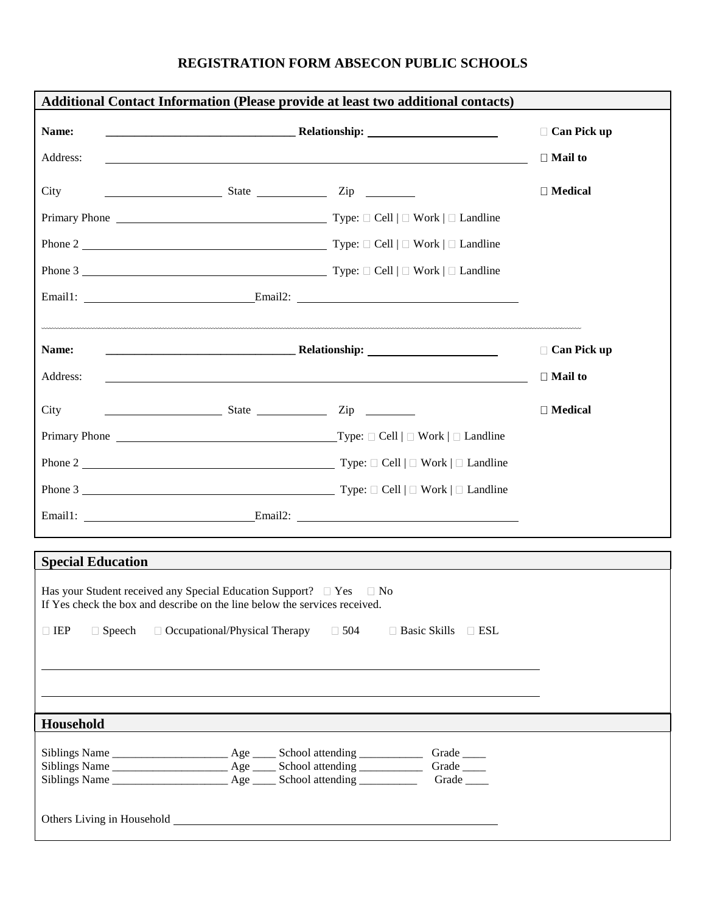## **REGISTRATION FORM ABSECON PUBLIC SCHOOLS**

|                                                                                                                                                                                                                               |                                      | <b>Additional Contact Information (Please provide at least two additional contacts)</b> |                    |
|-------------------------------------------------------------------------------------------------------------------------------------------------------------------------------------------------------------------------------|--------------------------------------|-----------------------------------------------------------------------------------------|--------------------|
| Name:                                                                                                                                                                                                                         |                                      | <b>Property of the Community Community Relationship:</b>                                | $\Box$ Can Pick up |
| Address:                                                                                                                                                                                                                      |                                      | ,我们也不会有什么。""我们的人,我们也不会有什么?""我们的人,我们也不会有什么?""我们的人,我们的人,我们也不会有什么?""我们的人,我们的人,我们的人,        | $\Box$ Mail to     |
| City                                                                                                                                                                                                                          | $S$ tate $Zip$                       |                                                                                         | $\Box$ Medical     |
|                                                                                                                                                                                                                               |                                      |                                                                                         |                    |
|                                                                                                                                                                                                                               |                                      |                                                                                         |                    |
|                                                                                                                                                                                                                               |                                      |                                                                                         |                    |
|                                                                                                                                                                                                                               |                                      |                                                                                         |                    |
|                                                                                                                                                                                                                               |                                      |                                                                                         |                    |
| Name:                                                                                                                                                                                                                         |                                      | <b>Machine and Science Community Relationship:</b> <u>2008 - 2009</u>                   | $\Box$ Can Pick up |
| Address:                                                                                                                                                                                                                      |                                      |                                                                                         | $\Box$ Mail to     |
| City                                                                                                                                                                                                                          | $S$ tate $Zip$                       |                                                                                         | $\Box$ Medical     |
|                                                                                                                                                                                                                               |                                      |                                                                                         |                    |
|                                                                                                                                                                                                                               |                                      |                                                                                         |                    |
|                                                                                                                                                                                                                               |                                      |                                                                                         |                    |
|                                                                                                                                                                                                                               |                                      |                                                                                         |                    |
|                                                                                                                                                                                                                               |                                      |                                                                                         |                    |
| <b>Special Education</b>                                                                                                                                                                                                      |                                      |                                                                                         |                    |
| Has your Student received any Special Education Support? $\Box$ Yes $\Box$ No<br>If Yes check the box and describe on the line below the services received.                                                                   |                                      |                                                                                         |                    |
| $\Box$ IEP<br>$\Box$ Speech                                                                                                                                                                                                   | $\Box$ Occupational/Physical Therapy | $\Box$ 504<br>$\Box$ Basic Skills $\Box$ ESL                                            |                    |
|                                                                                                                                                                                                                               |                                      |                                                                                         |                    |
|                                                                                                                                                                                                                               |                                      |                                                                                         |                    |
|                                                                                                                                                                                                                               |                                      |                                                                                         |                    |
| Household                                                                                                                                                                                                                     |                                      |                                                                                         |                    |
|                                                                                                                                                                                                                               |                                      | Grade $\_\_$<br>Grade                                                                   |                    |
|                                                                                                                                                                                                                               |                                      | Grade $\_\_$                                                                            |                    |
| Others Living in Household Learner and School and School and School and School and School and School and School and School and School and School and School and School and School and School and School and School and School |                                      |                                                                                         |                    |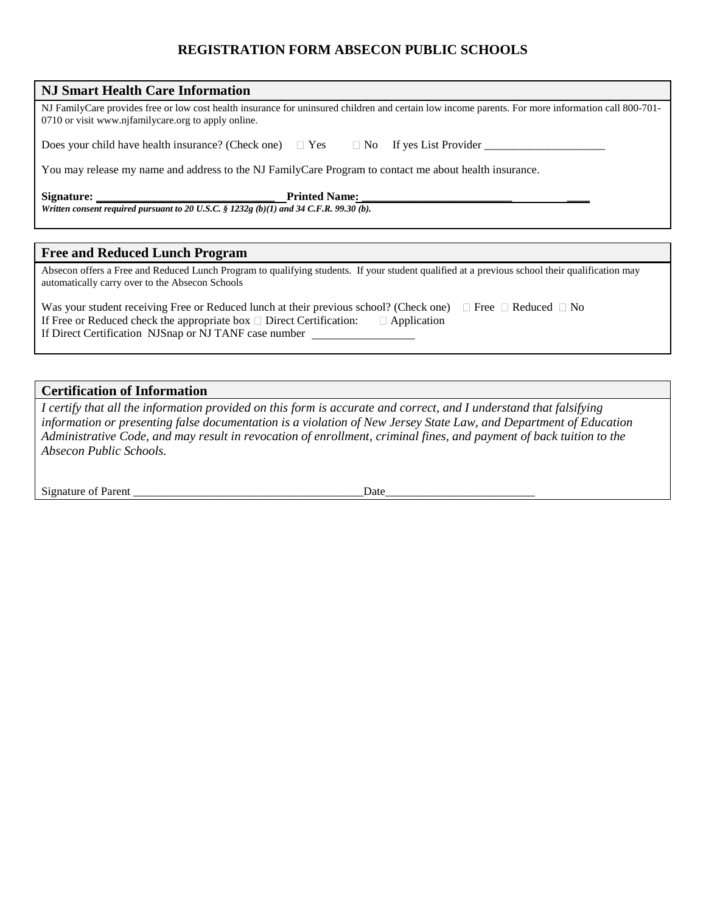## **REGISTRATION FORM ABSECON PUBLIC SCHOOLS**

| <b>NJ Smart Health Care Information</b>                                                                                                                                                                   |
|-----------------------------------------------------------------------------------------------------------------------------------------------------------------------------------------------------------|
| NJ FamilyCare provides free or low cost health insurance for uninsured children and certain low income parents. For more information call 800-701-<br>0710 or visit www.njfamilycare.org to apply online. |
| Does your child have health insurance? (Check one) $\Box$ Yes $\Box$ No If yes List Provider                                                                                                              |
| You may release my name and address to the NJ Family Care Program to contact me about health insurance.                                                                                                   |
| <b>Printed Name:</b><br>Written consent required pursuant to 20 U.S.C. $\S$ 1232g (b)(1) and 34 C.F.R. 99.30 (b).                                                                                         |
|                                                                                                                                                                                                           |
| Free and Dadysed Lovely Dragmans                                                                                                                                                                          |

#### **Free and Reduced Lunch Program**

Absecon offers a Free and Reduced Lunch Program to qualifying students. If your student qualified at a previous school their qualification may automatically carry over to the Absecon Schools

| Was your student receiving Free or Reduced lunch at their previous school? (Check one) $\Box$ Free $\Box$ Reduced $\Box$ No |  |
|-----------------------------------------------------------------------------------------------------------------------------|--|
| If Free or Reduced check the appropriate box $\square$ Direct Certification: $\square$ Application                          |  |
| If Direct Certification NJSnap or NJ TANF case number                                                                       |  |

### **Certification of Information**

*I certify that all the information provided on this form is accurate and correct, and I understand that falsifying information or presenting false documentation is a violation of New Jersey State Law, and Department of Education Administrative Code, and may result in revocation of enrollment, criminal fines, and payment of back tuition to the Absecon Public Schools.*

Signature of Parent \_\_\_\_\_\_\_\_\_\_\_\_\_\_\_\_\_\_\_\_\_\_\_\_\_\_\_\_\_\_\_\_\_\_\_\_\_\_\_\_Date\_\_\_\_\_\_\_\_\_\_\_\_\_\_\_\_\_\_\_\_\_\_\_\_\_\_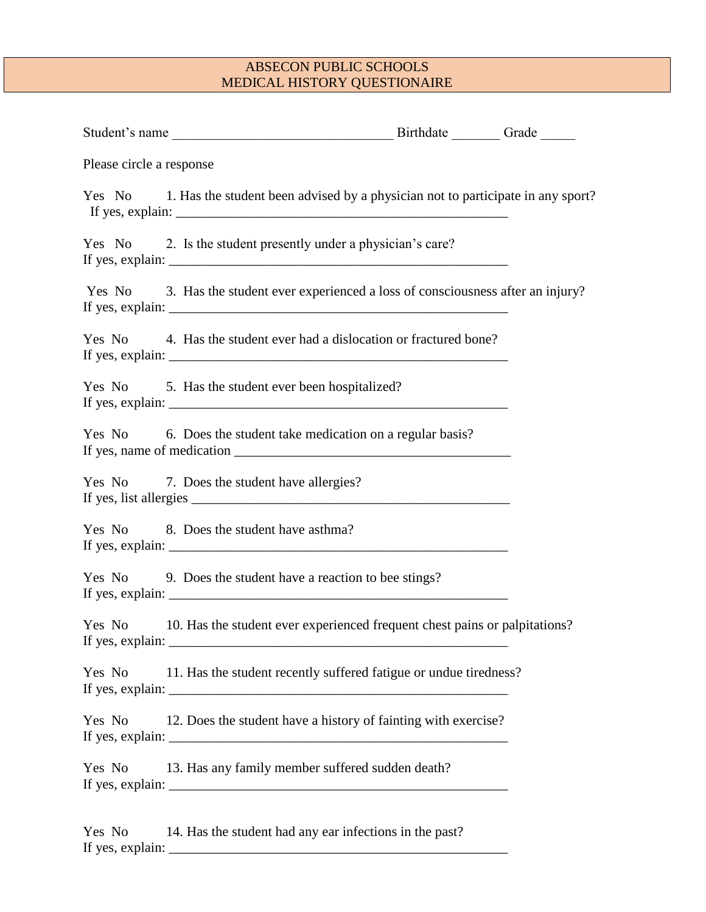| Please circle a response |                                                                                                                 |  |
|--------------------------|-----------------------------------------------------------------------------------------------------------------|--|
|                          | Yes No 1. Has the student been advised by a physician not to participate in any sport?                          |  |
|                          | Yes No 2. Is the student presently under a physician's care?                                                    |  |
|                          | Yes No 3. Has the student ever experienced a loss of consciousness after an injury?                             |  |
|                          | Yes No 4. Has the student ever had a dislocation or fractured bone?                                             |  |
|                          | Yes No 5. Has the student ever been hospitalized?                                                               |  |
|                          | Yes No 6. Does the student take medication on a regular basis?                                                  |  |
|                          | Yes No 7. Does the student have allergies?<br>If yes, list allergies $\frac{1}{\frac{1}{2} \sum_{i=1}^{n} a_i}$ |  |
|                          | Yes No 8. Does the student have asthma?                                                                         |  |
|                          | Yes No 9. Does the student have a reaction to bee stings?                                                       |  |
|                          | Yes No 10. Has the student ever experienced frequent chest pains or palpitations?                               |  |
| Yes No                   | 11. Has the student recently suffered fatigue or undue tiredness?                                               |  |
| Yes No                   | 12. Does the student have a history of fainting with exercise?                                                  |  |
| Yes No                   | 13. Has any family member suffered sudden death?                                                                |  |
|                          |                                                                                                                 |  |

Yes No 14. Has the student had any ear infections in the past? If yes, explain: \_\_\_\_\_\_\_\_\_\_\_\_\_\_\_\_\_\_\_\_\_\_\_\_\_\_\_\_\_\_\_\_\_\_\_\_\_\_\_\_\_\_\_\_\_\_\_\_\_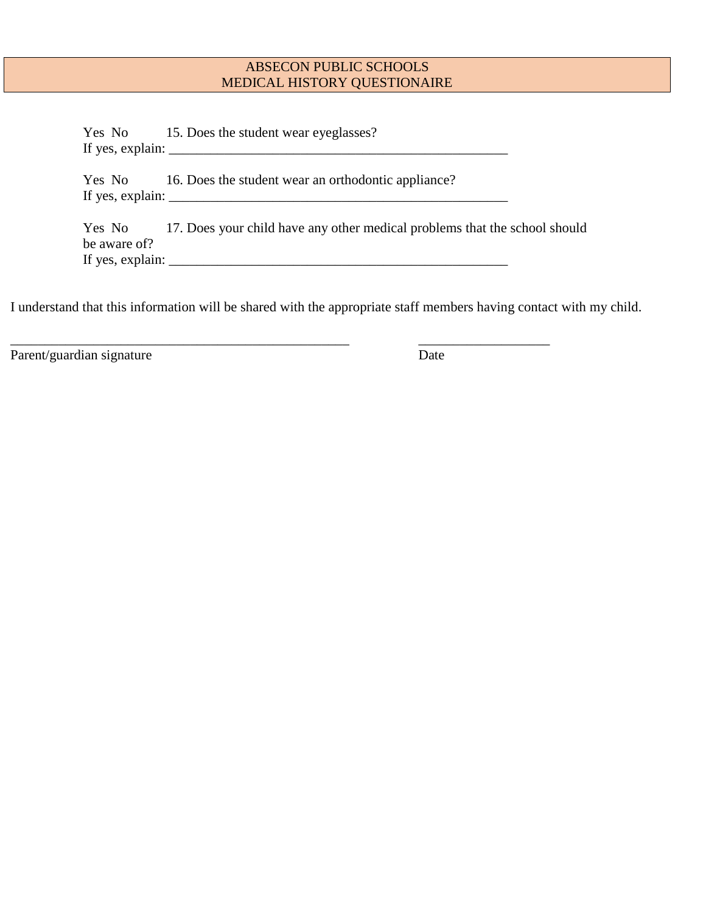Yes No 15. Does the student wear eyeglasses? If yes, explain: \_\_\_\_\_\_\_\_\_\_\_\_\_\_\_\_\_\_\_\_\_\_\_\_\_\_\_\_\_\_\_\_\_\_\_\_\_\_\_\_\_\_\_\_\_\_\_\_\_ Yes No 16. Does the student wear an orthodontic appliance? If yes, explain:  $\frac{1}{2}$  =  $\frac{1}{2}$  =  $\frac{1}{2}$  =  $\frac{1}{2}$  =  $\frac{1}{2}$  =  $\frac{1}{2}$  =  $\frac{1}{2}$  =  $\frac{1}{2}$  =  $\frac{1}{2}$  =  $\frac{1}{2}$  =  $\frac{1}{2}$  =  $\frac{1}{2}$  =  $\frac{1}{2}$  =  $\frac{1}{2}$  =  $\frac{1}{2}$  =  $\frac{1}{2}$  =  $\frac{1}{2}$  = Yes No 17. Does your child have any other medical problems that the school should be aware of?

If yes, explain: \_\_\_\_\_\_\_\_\_\_\_\_\_\_\_\_\_\_\_\_\_\_\_\_\_\_\_\_\_\_\_\_\_\_\_\_\_\_\_\_\_\_\_\_\_\_\_\_\_

\_\_\_\_\_\_\_\_\_\_\_\_\_\_\_\_\_\_\_\_\_\_\_\_\_\_\_\_\_\_\_\_\_\_\_\_\_\_\_\_\_\_\_\_\_\_\_\_\_ \_\_\_\_\_\_\_\_\_\_\_\_\_\_\_\_\_\_\_

I understand that this information will be shared with the appropriate staff members having contact with my child.

Parent/guardian signature Date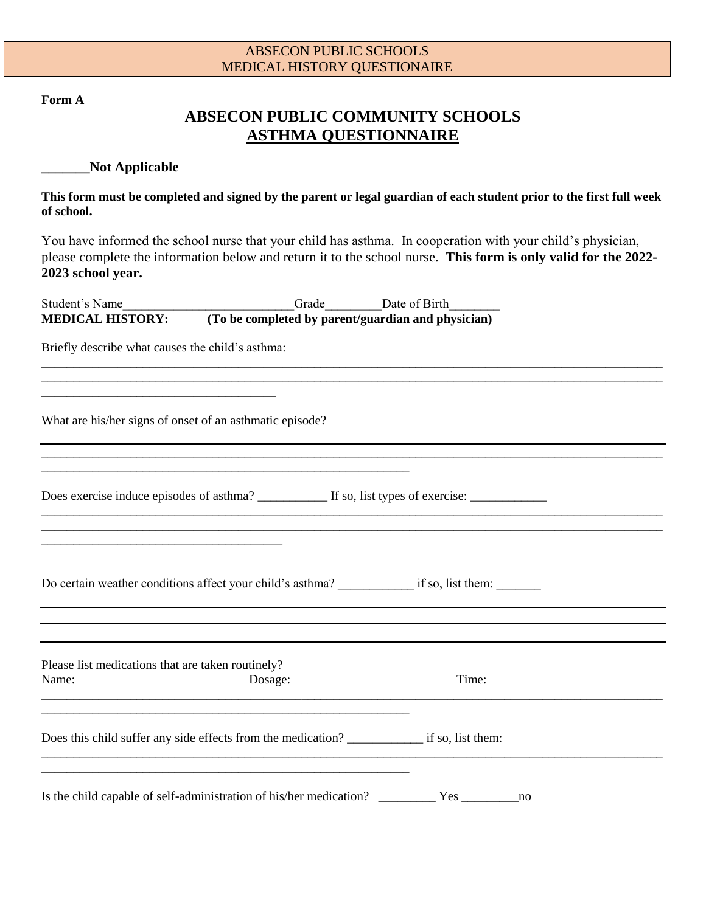**Form A**

# **ABSECON PUBLIC COMMUNITY SCHOOLS ASTHMA QUESTIONNAIRE**

### **\_\_\_\_\_\_\_Not Applicable**

**This form must be completed and signed by the parent or legal guardian of each student prior to the first full week of school.**

You have informed the school nurse that your child has asthma. In cooperation with your child's physician, please complete the information below and return it to the school nurse. **This form is only valid for the 2022- 2023 school year.**

\_\_\_\_\_\_\_\_\_\_\_\_\_\_\_\_\_\_\_\_\_\_\_\_\_\_\_\_\_\_\_\_\_\_\_\_\_\_\_\_\_\_\_\_\_\_\_\_\_\_\_\_\_\_\_\_\_\_\_\_\_\_\_\_\_\_\_\_\_\_\_\_\_\_\_\_\_\_\_\_\_\_\_\_\_\_\_\_\_\_\_\_\_\_\_\_\_\_ \_\_\_\_\_\_\_\_\_\_\_\_\_\_\_\_\_\_\_\_\_\_\_\_\_\_\_\_\_\_\_\_\_\_\_\_\_\_\_\_\_\_\_\_\_\_\_\_\_\_\_\_\_\_\_\_\_\_\_\_\_\_\_\_\_\_\_\_\_\_\_\_\_\_\_\_\_\_\_\_\_\_\_\_\_\_\_\_\_\_\_\_\_\_\_\_\_\_

\_\_\_\_\_\_\_\_\_\_\_\_\_\_\_\_\_\_\_\_\_\_\_\_\_\_\_\_\_\_\_\_\_\_\_\_\_\_\_\_\_\_\_\_\_\_\_\_\_\_\_\_\_\_\_\_\_\_\_\_\_\_\_\_\_\_\_\_\_\_\_\_\_\_\_\_\_\_\_\_\_\_\_\_\_\_\_\_\_\_\_\_\_\_\_\_\_\_ \_\_\_\_\_\_\_\_\_\_\_\_\_\_\_\_\_\_\_\_\_\_\_\_\_\_\_\_\_\_\_\_\_\_\_\_\_\_\_\_\_\_\_\_\_\_\_\_\_\_\_\_\_\_\_\_\_\_\_\_\_\_\_\_\_\_\_\_\_\_\_\_\_\_\_\_\_\_\_\_\_\_\_\_\_\_\_\_\_\_\_\_\_\_\_\_\_\_

Student's Name **Student's Name** Grade **Date of Birth MEDICAL HISTORY: (To be completed by parent/guardian and physician)**

Briefly describe what causes the child's asthma:

\_\_\_\_\_\_\_\_\_\_\_\_\_\_\_\_\_\_\_\_\_\_\_\_\_\_\_\_\_\_\_\_\_\_\_\_\_

What are his/her signs of onset of an asthmatic episode?

Does exercise induce episodes of asthma? If so, list types of exercise:

Do certain weather conditions affect your child's asthma? <br>if so, list them:

| Name: | Please list medications that are taken routinely?<br>Dosage: | Time:             |  |
|-------|--------------------------------------------------------------|-------------------|--|
|       | Does this child suffer any side effects from the medication? | if so, list them: |  |
|       |                                                              |                   |  |

Is the child capable of self-administration of his/her medication? \_\_\_\_\_\_\_\_\_ Yes \_\_\_\_\_\_\_\_\_no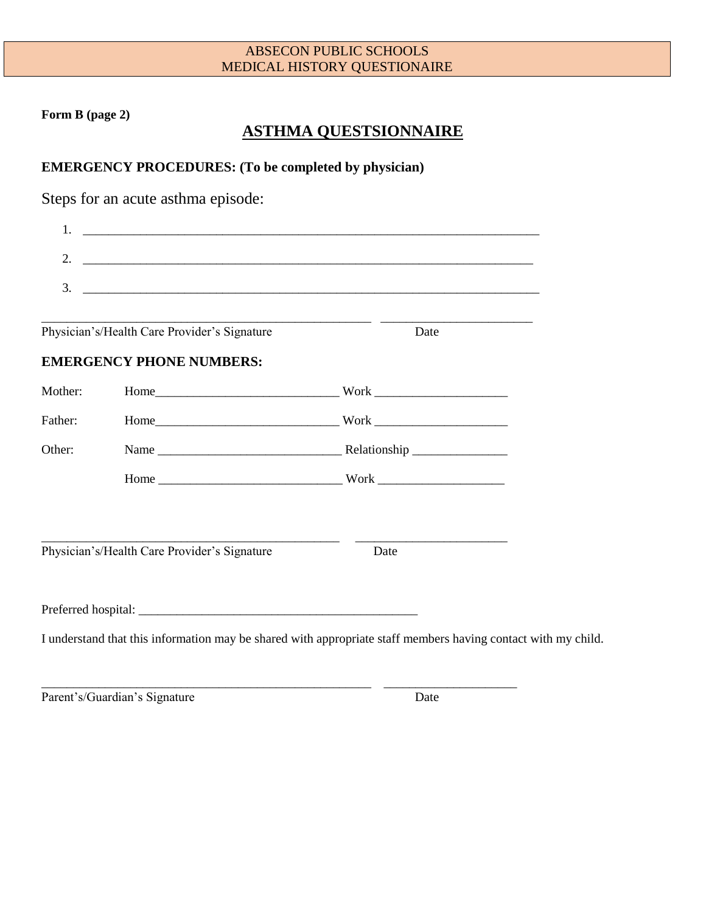**Form B (page 2)**

# **ASTHMA QUESTSIONNAIRE**

**EMERGENCY PROCEDURES: (To be completed by physician)**

Steps for an acute asthma episode:

| 2.      |                                              |      |                                                                                                               |
|---------|----------------------------------------------|------|---------------------------------------------------------------------------------------------------------------|
| 3.      |                                              |      |                                                                                                               |
|         |                                              |      |                                                                                                               |
|         | Physician's/Health Care Provider's Signature | Date |                                                                                                               |
|         | <b>EMERGENCY PHONE NUMBERS:</b>              |      |                                                                                                               |
| Mother: |                                              |      |                                                                                                               |
| Father: |                                              |      |                                                                                                               |
| Other:  |                                              |      |                                                                                                               |
|         |                                              |      |                                                                                                               |
|         |                                              |      |                                                                                                               |
|         | Physician's/Health Care Provider's Signature | Date |                                                                                                               |
|         |                                              |      |                                                                                                               |
|         |                                              |      |                                                                                                               |
|         |                                              |      | I understand that this information may be shared with appropriate staff members having contact with my child. |

\_\_\_\_\_\_\_\_\_\_\_\_\_\_\_\_\_\_\_\_\_\_\_\_\_\_\_\_\_\_\_\_\_\_\_\_\_\_\_\_\_\_\_\_\_\_\_\_\_\_\_\_ \_\_\_\_\_\_\_\_\_\_\_\_\_\_\_\_\_\_\_\_\_

Parent's/Guardian's Signature Date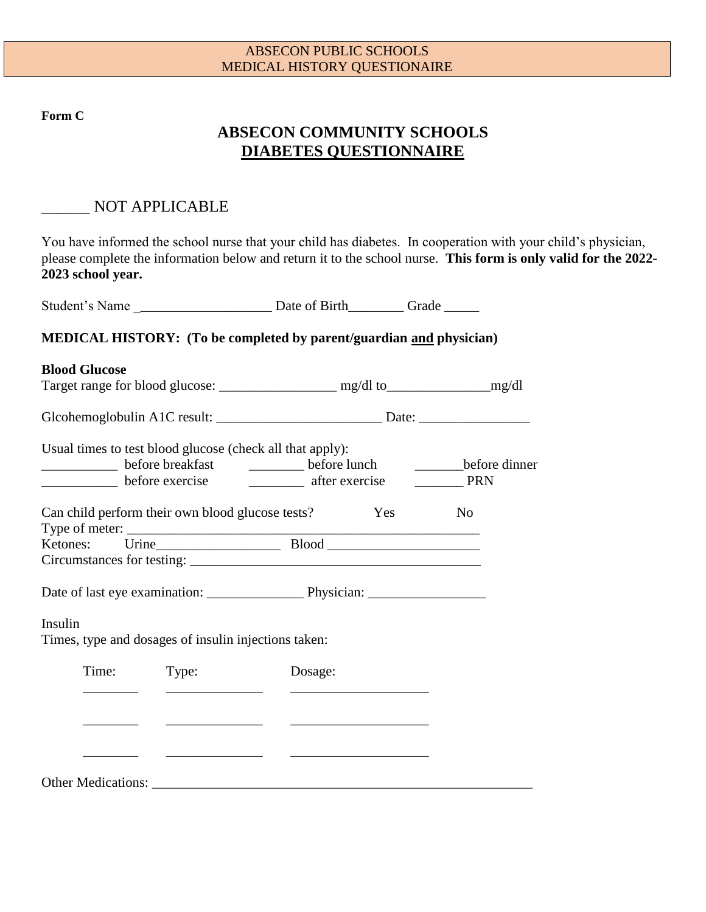**Form C**

# **ABSECON COMMUNITY SCHOOLS DIABETES QUESTIONNAIRE**

# \_\_\_\_\_\_ NOT APPLICABLE

You have informed the school nurse that your child has diabetes. In cooperation with your child's physician, please complete the information below and return it to the school nurse. **This form is only valid for the 2022- 2023 school year.**

|                                                                 |       | <b>MEDICAL HISTORY:</b> (To be completed by parent/guardian and physician)        |                          |  |
|-----------------------------------------------------------------|-------|-----------------------------------------------------------------------------------|--------------------------|--|
| <b>Blood Glucose</b>                                            |       |                                                                                   |                          |  |
|                                                                 |       |                                                                                   |                          |  |
|                                                                 |       | Glcohemoglobulin A1C result: _____________________________Date: _________________ |                          |  |
|                                                                 |       | Usual times to test blood glucose (check all that apply):                         |                          |  |
|                                                                 |       | before breakfast ___________ before lunch                                         | before dinner            |  |
|                                                                 |       | before exercise exercise after exercise                                           | $\rule{1em}{0.15mm}$ PRN |  |
|                                                                 |       | Can child perform their own blood glucose tests? Yes                              | N <sub>o</sub>           |  |
|                                                                 |       |                                                                                   |                          |  |
|                                                                 |       |                                                                                   |                          |  |
|                                                                 |       |                                                                                   |                          |  |
| Insulin<br>Times, type and dosages of insulin injections taken: |       |                                                                                   |                          |  |
| Time:                                                           | Type: | Dosage:                                                                           |                          |  |
|                                                                 |       |                                                                                   |                          |  |
|                                                                 |       | <u> The Common School (1989)</u>                                                  |                          |  |
|                                                                 |       |                                                                                   |                          |  |
|                                                                 |       |                                                                                   |                          |  |

Other Medications: \_\_\_\_\_\_\_\_\_\_\_\_\_\_\_\_\_\_\_\_\_\_\_\_\_\_\_\_\_\_\_\_\_\_\_\_\_\_\_\_\_\_\_\_\_\_\_\_\_\_\_\_\_\_\_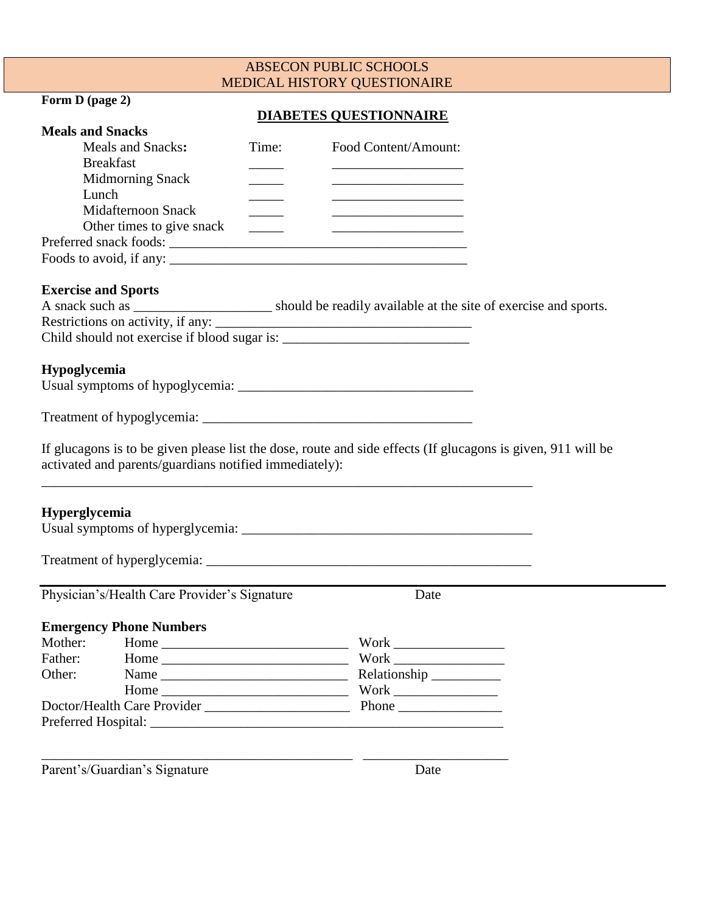## **Form D (page 2)**

## **DIABETES QUESTIONNAIRE**

| <b>Meals and Snacks</b>                                |                          |                                                                                                                      |  |
|--------------------------------------------------------|--------------------------|----------------------------------------------------------------------------------------------------------------------|--|
| <b>Meals and Snacks:</b>                               | Time:                    | Food Content/Amount:                                                                                                 |  |
| <b>Breakfast</b>                                       |                          |                                                                                                                      |  |
| <b>Midmorning Snack</b>                                |                          | <u> The Communication of the Communication of the Communication of the Communication of the Communication of</u>     |  |
| Lunch                                                  |                          | <u> 2002 - Johann John Harrison, mars and de la partie de la partie de la partie de la partie de la partie de la</u> |  |
| <b>Midafternoon Snack</b>                              | $\overline{\phantom{a}}$ |                                                                                                                      |  |
| Other times to give snack                              | <b>Contract Contract</b> |                                                                                                                      |  |
| Preferred snack foods:                                 |                          |                                                                                                                      |  |
|                                                        |                          |                                                                                                                      |  |
| <b>Exercise and Sports</b>                             |                          |                                                                                                                      |  |
|                                                        |                          | A snack such as ________________________ should be readily available at the site of exercise and sports.             |  |
| Restrictions on activity, if any:                      |                          |                                                                                                                      |  |
|                                                        |                          |                                                                                                                      |  |
|                                                        |                          |                                                                                                                      |  |
| Hypoglycemia                                           |                          |                                                                                                                      |  |
|                                                        |                          |                                                                                                                      |  |
|                                                        |                          |                                                                                                                      |  |
|                                                        |                          |                                                                                                                      |  |
|                                                        |                          |                                                                                                                      |  |
|                                                        |                          | If glucagons is to be given please list the dose, route and side effects (If glucagons is given, 911 will be         |  |
| activated and parents/guardians notified immediately): |                          |                                                                                                                      |  |
|                                                        |                          |                                                                                                                      |  |
|                                                        |                          |                                                                                                                      |  |
| <b>Hyperglycemia</b>                                   |                          |                                                                                                                      |  |
|                                                        |                          |                                                                                                                      |  |
|                                                        |                          |                                                                                                                      |  |
|                                                        |                          |                                                                                                                      |  |
| Physician's/Health Care Provider's Signature           |                          | Date                                                                                                                 |  |
| <b>Emergency Phone Numbers</b>                         |                          |                                                                                                                      |  |
| Mother: Home                                           |                          | Work                                                                                                                 |  |
| Father:<br>Home $\_\_$                                 |                          |                                                                                                                      |  |
| Other:                                                 |                          | Relationship                                                                                                         |  |
|                                                        |                          | $\label{thm:work} \text{Work} \xrightarrow{\hspace{15mm}}$                                                           |  |
| Home $\_\_$                                            |                          |                                                                                                                      |  |
|                                                        |                          |                                                                                                                      |  |
|                                                        |                          |                                                                                                                      |  |
|                                                        |                          |                                                                                                                      |  |
| Parent's/Guardian's Signature                          |                          | Date                                                                                                                 |  |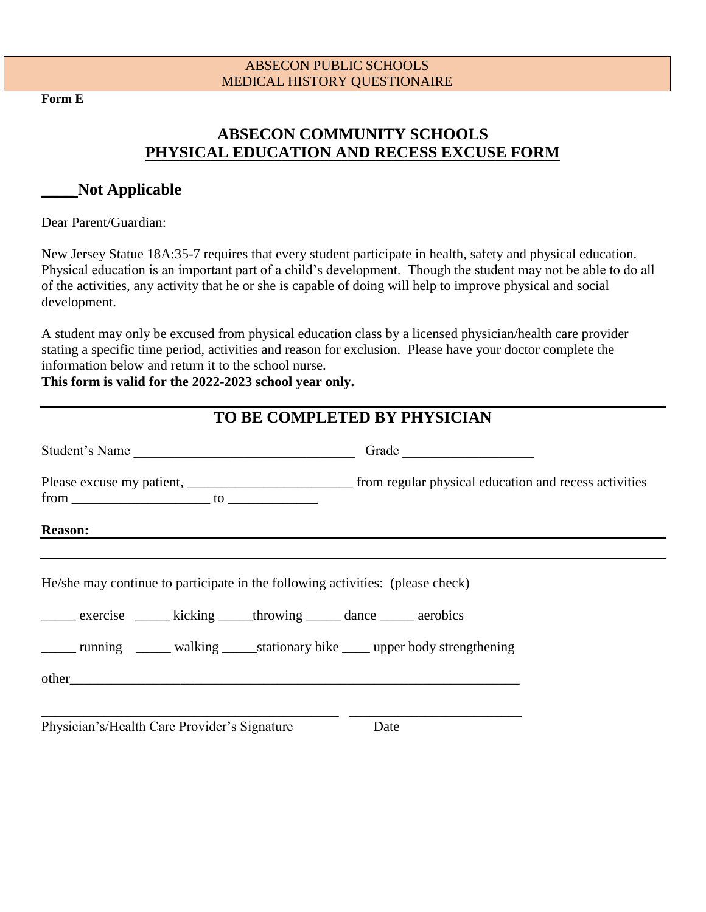**Form E**

# **ABSECON COMMUNITY SCHOOLS PHYSICAL EDUCATION AND RECESS EXCUSE FORM**

# **\_\_\_\_ Not Applicable**

Dear Parent/Guardian:

New Jersey Statue 18A:35-7 requires that every student participate in health, safety and physical education. Physical education is an important part of a child's development. Though the student may not be able to do all of the activities, any activity that he or she is capable of doing will help to improve physical and social development.

A student may only be excused from physical education class by a licensed physician/health care provider stating a specific time period, activities and reason for exclusion. Please have your doctor complete the information below and return it to the school nurse.

**This form is valid for the 2022-2023 school year only.**

|                                                                                                                                                                | TO BE COMPLETED BY PHYSICIAN                                                         |
|----------------------------------------------------------------------------------------------------------------------------------------------------------------|--------------------------------------------------------------------------------------|
|                                                                                                                                                                |                                                                                      |
|                                                                                                                                                                |                                                                                      |
| <b>Reason:</b>                                                                                                                                                 |                                                                                      |
| He/she may continue to participate in the following activities: (please check)<br>______ exercise _______ kicking ______ throwing ______ dance ______ aerobics | ______ running _______ walking ______ stationary bike _____ upper body strengthening |
| Physician's/Health Care Provider's Signature                                                                                                                   | Date                                                                                 |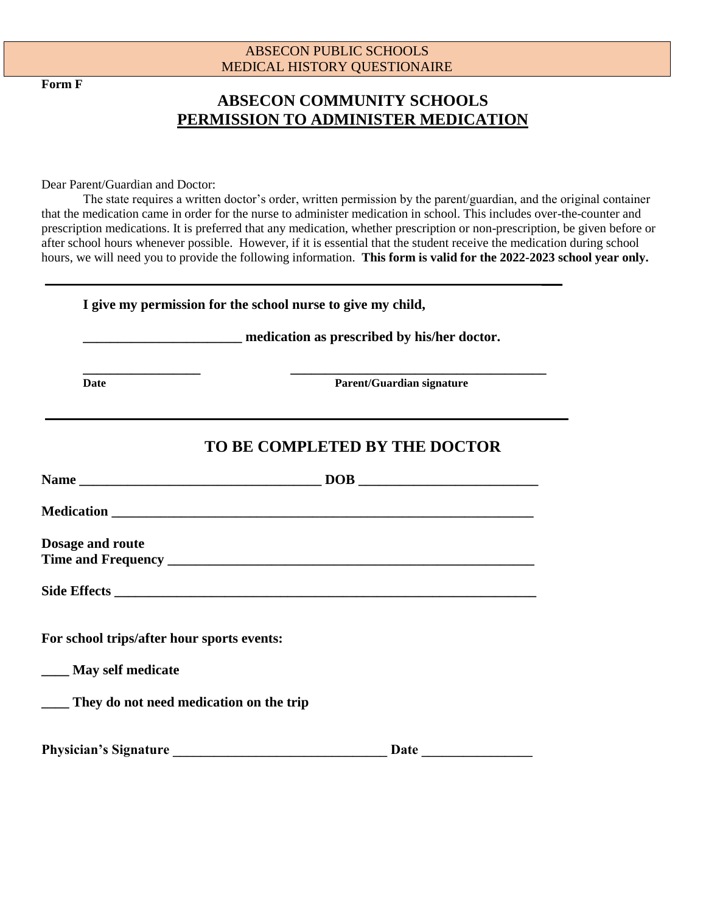**Form F**

# **ABSECON COMMUNITY SCHOOLS PERMISSION TO ADMINISTER MEDICATION**

Dear Parent/Guardian and Doctor:

The state requires a written doctor's order, written permission by the parent/guardian, and the original container that the medication came in order for the nurse to administer medication in school. This includes over-the-counter and prescription medications. It is preferred that any medication, whether prescription or non-prescription, be given before or after school hours whenever possible. However, if it is essential that the student receive the medication during school hours, we will need you to provide the following information. **This form is valid for the 2022-2023 school year only.**

| I give my permission for the school nurse to give my child, |                                                                 |  |  |  |
|-------------------------------------------------------------|-----------------------------------------------------------------|--|--|--|
|                                                             | <b>EXAMPLE 2018</b> medication as prescribed by his/her doctor. |  |  |  |
| <b>Date</b>                                                 | Parent/Guardian signature                                       |  |  |  |
|                                                             | TO BE COMPLETED BY THE DOCTOR                                   |  |  |  |
|                                                             |                                                                 |  |  |  |
|                                                             |                                                                 |  |  |  |
| <b>Dosage and route</b>                                     |                                                                 |  |  |  |
|                                                             |                                                                 |  |  |  |
| For school trips/after hour sports events:                  |                                                                 |  |  |  |
| ____ May self medicate                                      |                                                                 |  |  |  |
| ____ They do not need medication on the trip                |                                                                 |  |  |  |
| <b>Physician's Signature</b>                                | Date                                                            |  |  |  |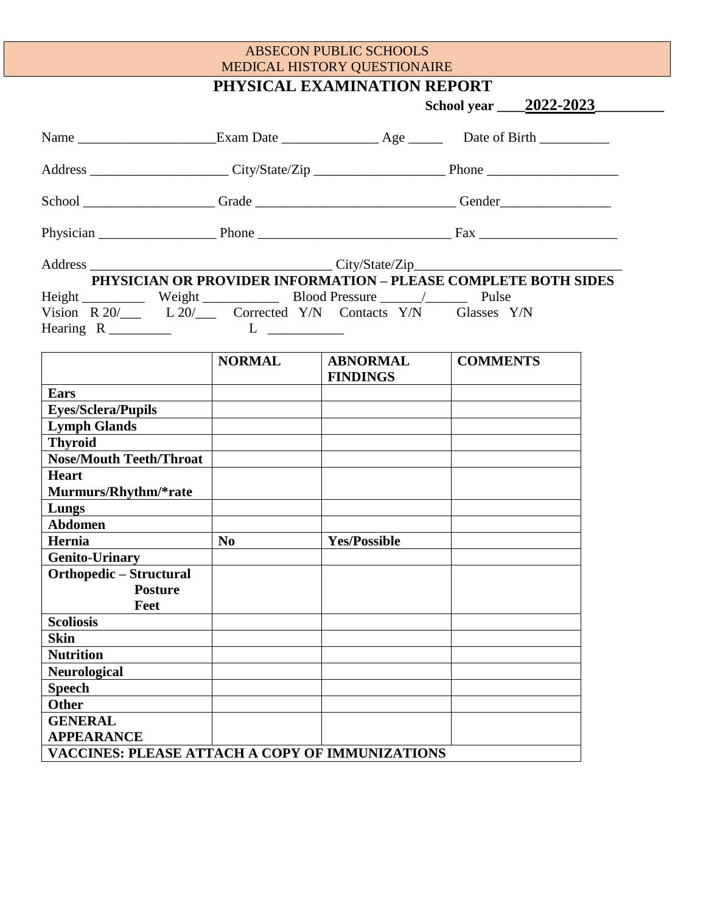**PHYSICAL EXAMINATION REPORT**

| School ___________________Grade ___________________________Gender _______________<br>PHYSICIAN OR PROVIDER INFORMATION - PLEASE COMPLETE BOTH SIDES<br>Vision R 20/____ L 20/____ Corrected Y/N Contacts Y/N Glasses Y/N<br><b>NORMAL</b><br><b>COMMENTS</b><br><b>ABNORMAL</b><br><b>FINDINGS</b><br><b>Ears</b><br><b>Eyes/Sclera/Pupils</b><br><b>Lymph Glands</b><br><b>Thyroid</b><br><b>Nose/Mouth Teeth/Throat</b><br><b>Heart</b><br>Murmurs/Rhythm/*rate<br>Lungs<br>Abdomen<br><b>Yes/Possible</b><br>N <sub>0</sub><br>Hernia<br><b>Genito-Urinary</b><br>Orthopedic – Structural<br><b>Posture</b><br>Feet<br><b>Scoliosis</b><br><b>Skin</b><br><b>Nutrition</b><br><b>Neurological</b><br><b>Speech</b><br><b>Other</b><br><b>GENERAL</b><br><b>APPEARANCE</b><br>VACCINES: PLEASE ATTACH A COPY OF IMMUNIZATIONS |  |  | School year ______ 2022-2023_______ |
|---------------------------------------------------------------------------------------------------------------------------------------------------------------------------------------------------------------------------------------------------------------------------------------------------------------------------------------------------------------------------------------------------------------------------------------------------------------------------------------------------------------------------------------------------------------------------------------------------------------------------------------------------------------------------------------------------------------------------------------------------------------------------------------------------------------------------------|--|--|-------------------------------------|
|                                                                                                                                                                                                                                                                                                                                                                                                                                                                                                                                                                                                                                                                                                                                                                                                                                 |  |  |                                     |
|                                                                                                                                                                                                                                                                                                                                                                                                                                                                                                                                                                                                                                                                                                                                                                                                                                 |  |  |                                     |
|                                                                                                                                                                                                                                                                                                                                                                                                                                                                                                                                                                                                                                                                                                                                                                                                                                 |  |  |                                     |
|                                                                                                                                                                                                                                                                                                                                                                                                                                                                                                                                                                                                                                                                                                                                                                                                                                 |  |  |                                     |
|                                                                                                                                                                                                                                                                                                                                                                                                                                                                                                                                                                                                                                                                                                                                                                                                                                 |  |  |                                     |
|                                                                                                                                                                                                                                                                                                                                                                                                                                                                                                                                                                                                                                                                                                                                                                                                                                 |  |  |                                     |
|                                                                                                                                                                                                                                                                                                                                                                                                                                                                                                                                                                                                                                                                                                                                                                                                                                 |  |  |                                     |
|                                                                                                                                                                                                                                                                                                                                                                                                                                                                                                                                                                                                                                                                                                                                                                                                                                 |  |  |                                     |
|                                                                                                                                                                                                                                                                                                                                                                                                                                                                                                                                                                                                                                                                                                                                                                                                                                 |  |  |                                     |
|                                                                                                                                                                                                                                                                                                                                                                                                                                                                                                                                                                                                                                                                                                                                                                                                                                 |  |  |                                     |
|                                                                                                                                                                                                                                                                                                                                                                                                                                                                                                                                                                                                                                                                                                                                                                                                                                 |  |  |                                     |
|                                                                                                                                                                                                                                                                                                                                                                                                                                                                                                                                                                                                                                                                                                                                                                                                                                 |  |  |                                     |
|                                                                                                                                                                                                                                                                                                                                                                                                                                                                                                                                                                                                                                                                                                                                                                                                                                 |  |  |                                     |
|                                                                                                                                                                                                                                                                                                                                                                                                                                                                                                                                                                                                                                                                                                                                                                                                                                 |  |  |                                     |
|                                                                                                                                                                                                                                                                                                                                                                                                                                                                                                                                                                                                                                                                                                                                                                                                                                 |  |  |                                     |
|                                                                                                                                                                                                                                                                                                                                                                                                                                                                                                                                                                                                                                                                                                                                                                                                                                 |  |  |                                     |
|                                                                                                                                                                                                                                                                                                                                                                                                                                                                                                                                                                                                                                                                                                                                                                                                                                 |  |  |                                     |
|                                                                                                                                                                                                                                                                                                                                                                                                                                                                                                                                                                                                                                                                                                                                                                                                                                 |  |  |                                     |
|                                                                                                                                                                                                                                                                                                                                                                                                                                                                                                                                                                                                                                                                                                                                                                                                                                 |  |  |                                     |
|                                                                                                                                                                                                                                                                                                                                                                                                                                                                                                                                                                                                                                                                                                                                                                                                                                 |  |  |                                     |
|                                                                                                                                                                                                                                                                                                                                                                                                                                                                                                                                                                                                                                                                                                                                                                                                                                 |  |  |                                     |
|                                                                                                                                                                                                                                                                                                                                                                                                                                                                                                                                                                                                                                                                                                                                                                                                                                 |  |  |                                     |
|                                                                                                                                                                                                                                                                                                                                                                                                                                                                                                                                                                                                                                                                                                                                                                                                                                 |  |  |                                     |
|                                                                                                                                                                                                                                                                                                                                                                                                                                                                                                                                                                                                                                                                                                                                                                                                                                 |  |  |                                     |
|                                                                                                                                                                                                                                                                                                                                                                                                                                                                                                                                                                                                                                                                                                                                                                                                                                 |  |  |                                     |
|                                                                                                                                                                                                                                                                                                                                                                                                                                                                                                                                                                                                                                                                                                                                                                                                                                 |  |  |                                     |
|                                                                                                                                                                                                                                                                                                                                                                                                                                                                                                                                                                                                                                                                                                                                                                                                                                 |  |  |                                     |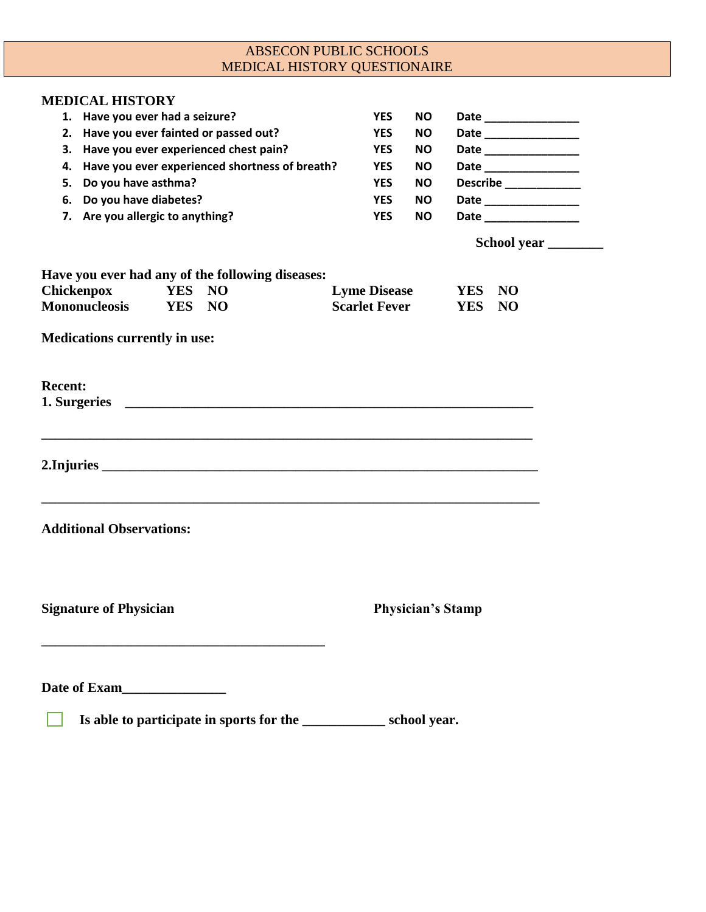| <b>MEDICAL HISTORY QUESTIONAIRE</b>                                      | <b>ABSECON PUBLIC SCHOOLS</b> |                          |                         |
|--------------------------------------------------------------------------|-------------------------------|--------------------------|-------------------------|
|                                                                          |                               |                          |                         |
| <b>MEDICAL HISTORY</b>                                                   |                               |                          |                         |
| 1. Have you ever had a seizure?                                          | <b>YES</b>                    | <b>NO</b>                |                         |
| 2. Have you ever fainted or passed out?                                  | <b>YES</b>                    | NO.                      | Date __________________ |
| 3. Have you ever experienced chest pain?                                 | <b>YES</b>                    | <b>NO</b>                | Date __________________ |
| Have you ever experienced shortness of breath?<br>4.                     | <b>YES</b>                    | <b>NO</b>                | Date _______________    |
| Do you have asthma?<br>5.                                                | <b>YES</b>                    | <b>NO</b>                | Describe _____________  |
| Do you have diabetes?<br>6.                                              | <b>YES</b>                    | <b>NO</b>                | Date _______________    |
| 7. Are you allergic to anything?                                         | <b>YES</b>                    | <b>NO</b>                | Date ________________   |
|                                                                          |                               |                          | School year             |
| Have you ever had any of the following diseases:                         |                               |                          |                         |
| Chickenpox<br><b>YES</b><br><b>NO</b>                                    | <b>Lyme Disease</b>           | <b>YES</b>               | <b>NO</b>               |
| <b>Mononucleosis</b><br><b>YES</b><br>NO                                 | <b>Scarlet Fever</b>          | <b>YES</b>               | <b>NO</b>               |
|                                                                          |                               |                          |                         |
| <b>Medications currently in use:</b>                                     |                               |                          |                         |
|                                                                          |                               |                          |                         |
|                                                                          |                               |                          |                         |
| <b>Recent:</b>                                                           |                               |                          |                         |
| 1. Surgeries                                                             |                               |                          |                         |
|                                                                          |                               |                          |                         |
|                                                                          |                               |                          |                         |
|                                                                          |                               |                          |                         |
|                                                                          |                               |                          |                         |
|                                                                          |                               |                          |                         |
|                                                                          |                               |                          |                         |
| <b>Additional Observations:</b>                                          |                               |                          |                         |
|                                                                          |                               |                          |                         |
|                                                                          |                               |                          |                         |
|                                                                          |                               |                          |                         |
|                                                                          |                               |                          |                         |
| <b>Signature of Physician</b>                                            |                               | <b>Physician's Stamp</b> |                         |
|                                                                          |                               |                          |                         |
|                                                                          |                               |                          |                         |
|                                                                          |                               |                          |                         |
| Date of Exam<br><u>Exam</u>                                              |                               |                          |                         |
| Is able to participate in sports for the __________________ school year. |                               |                          |                         |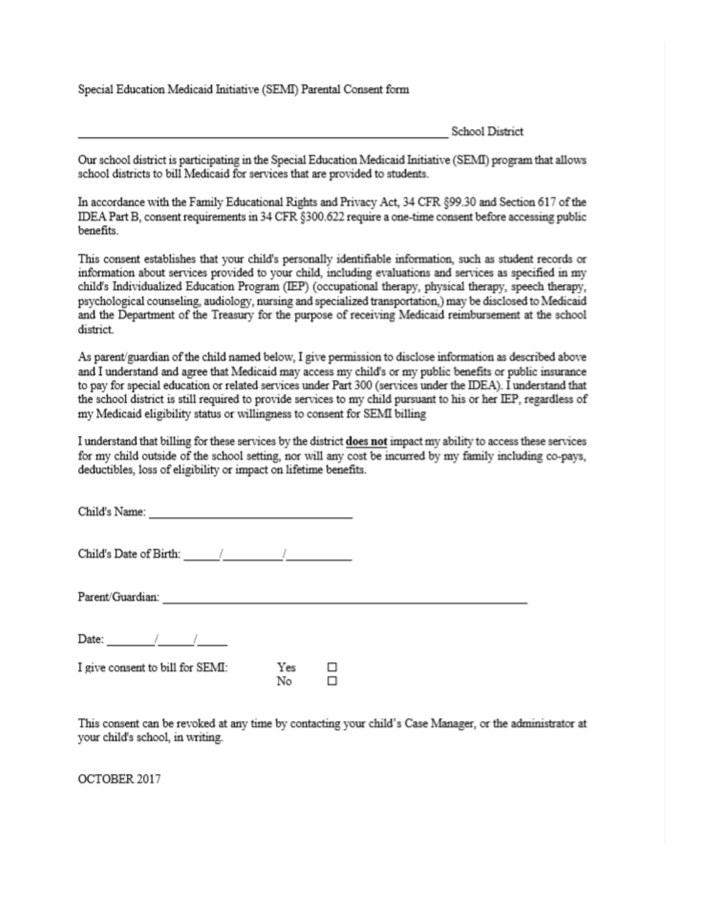Special Education Medicaid Initiative (SEMI) Parental Consent form

School District

Our school district is participating in the Special Education Medicaid Initiative (SEMI) program that allows school districts to bill Medicaid for services that are provided to students.

In accordance with the Family Educational Rights and Privacy Act, 34 CFR §99.30 and Section 617 of the IDEA Part B, consent requirements in 34 CFR §300.622 require a one-time consent before accessing public benefits.

This consent establishes that your child's personally identifiable information, such as student records or information about services provided to your child, including evaluations and services as specified in my child's Individualized Education Program (IEP) (occupational therapy, physical therapy, speech therapy, psychological counseling, audiology, nursing and specialized transportation,) may be disclosed to Medicaid and the Department of the Treasury for the purpose of receiving Medicaid reimbursement at the school district.

As parent/guardian of the child named below, I give permission to disclose information as described above and I understand and agree that Medicaid may access my child's or my public benefits or public insurance to pay for special education or related services under Part 300 (services under the IDEA). I understand that the school district is still required to provide services to my child pursuant to his or her IEP, regardless of my Medicaid eligibility status or willingness to consent for SEMI billing

I understand that billing for these services by the district does not impact my ability to access these services for my child outside of the school setting, nor will any cost be incurred by my family including co-pays, deductibles, loss of eligibility or impact on lifetime benefits.

Child's Name:

Child's Date of Birth: / / / /

Parent/Guardian:

Date:  $\frac{1}{\sqrt{1-\frac{1}{2}}}\frac{1}{\sqrt{1-\frac{1}{2}}}\frac{1}{\sqrt{1-\frac{1}{2}}}\frac{1}{\sqrt{1-\frac{1}{2}}}\frac{1}{\sqrt{1-\frac{1}{2}}}\frac{1}{\sqrt{1-\frac{1}{2}}}\frac{1}{\sqrt{1-\frac{1}{2}}}\frac{1}{\sqrt{1-\frac{1}{2}}}\frac{1}{\sqrt{1-\frac{1}{2}}}\frac{1}{\sqrt{1-\frac{1}{2}}}\frac{1}{\sqrt{1-\frac{1}{2}}}\frac{1}{\sqrt{1-\frac{1}{2}}}\frac{1}{\sqrt{1-\frac{1}{2}}}\frac{1}{\$ 

 $\frac{Yes}{N_{\alpha}}$ I give consent to bill for SEMI: □ No □

This consent can be revoked at any time by contacting your child's Case Manager, or the administrator at your child's school, in writing.

OCTOBER 2017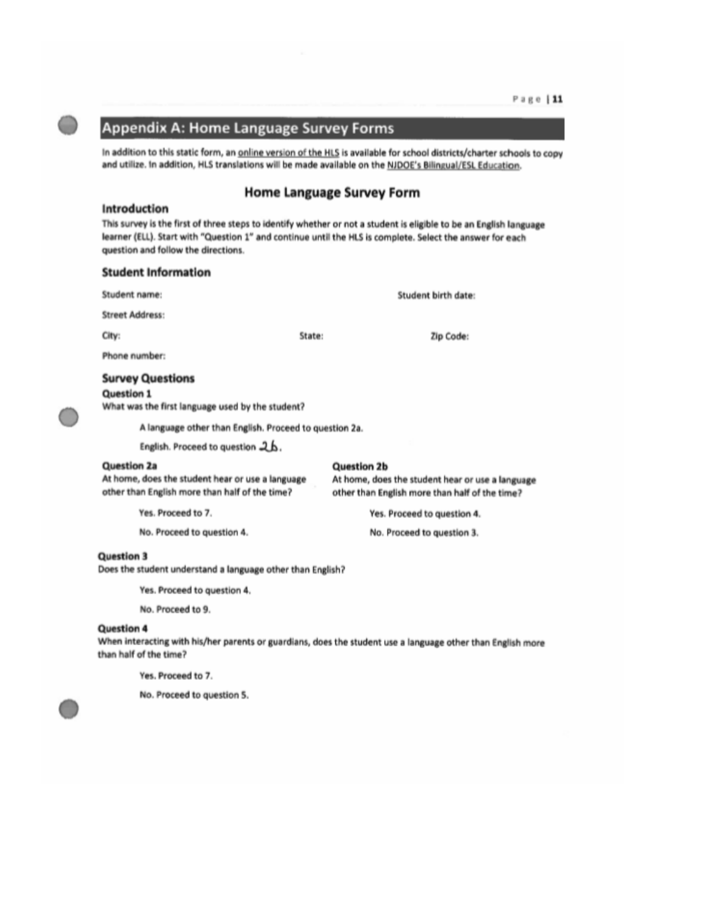## Appendix A: Home Language Survey Forms

In addition to this static form, an online version of the HLS is available for school districts/charter schools to copy and utilize. In addition, HLS translations will be made available on the NJDOE's Bilingual/ESL Education.

#### **Home Language Survey Form**

#### Introduction

This survey is the first of three steps to identify whether or not a student is eligible to be an English language learner (ELL). Start with "Question 1" and continue until the HLS is complete. Select the answer for each question and follow the directions.

#### **Student Information**

| Student name:                                                                                                            | Student birth date:                                                                                                      |
|--------------------------------------------------------------------------------------------------------------------------|--------------------------------------------------------------------------------------------------------------------------|
| <b>Street Address:</b>                                                                                                   |                                                                                                                          |
| City:                                                                                                                    | State:<br>Zip Code:                                                                                                      |
| Phone number:                                                                                                            |                                                                                                                          |
| <b>Survey Questions</b><br>Question 1<br>What was the first language used by the student?                                |                                                                                                                          |
| A language other than English. Proceed to question 2a.                                                                   |                                                                                                                          |
| English. Proceed to question 2 b.                                                                                        |                                                                                                                          |
| <b>Question 2a</b><br>At home, does the student hear or use a language<br>other than English more than half of the time? | <b>Question 2b</b><br>At home, does the student hear or use a language<br>other than English more than half of the time? |
| Yes. Proceed to 7.                                                                                                       | Yes. Proceed to question 4.                                                                                              |
| No. Proceed to question 4.                                                                                               | No. Proceed to question 3.                                                                                               |

#### **Question 3**

Does the student understand a language other than English?

Yes. Proceed to question 4.

No. Proceed to 9.

#### **Question 4**

When interacting with his/her parents or guardians, does the student use a language other than English more than half of the time?

Yes. Proceed to 7.

No. Proceed to question 5.